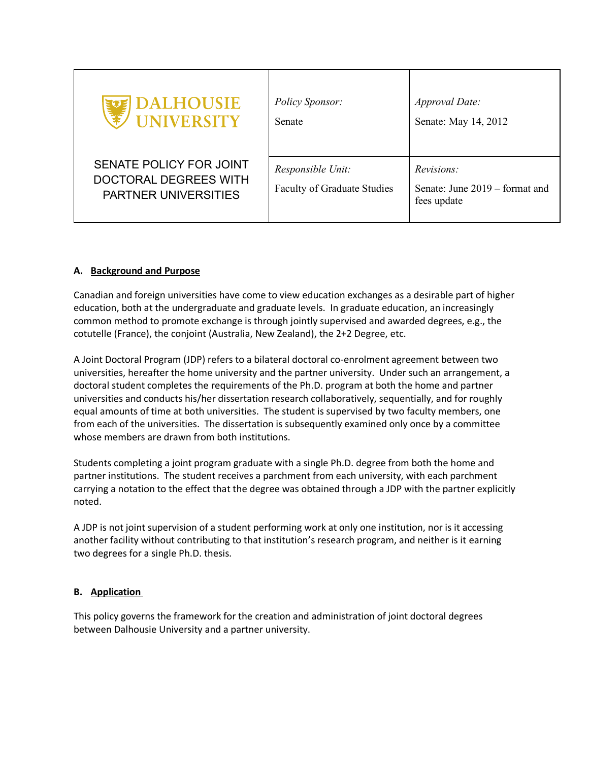| <b>EDE DALHOUSIE</b>                                                                   | Policy Sponsor:                                         | Approval Date:                                              |
|----------------------------------------------------------------------------------------|---------------------------------------------------------|-------------------------------------------------------------|
| ' UNIVERSITY                                                                           | Senate                                                  | Senate: May 14, 2012                                        |
| SENATE POLICY FOR JOINT<br><b>DOCTORAL DEGREES WITH</b><br><b>PARTNER UNIVERSITIES</b> | Responsible Unit:<br><b>Faculty of Graduate Studies</b> | Revisions:<br>Senate: June 2019 – format and<br>fees update |

### **A. Background and Purpose**

Canadian and foreign universities have come to view education exchanges as a desirable part of higher education, both at the undergraduate and graduate levels. In graduate education, an increasingly common method to promote exchange is through jointly supervised and awarded degrees, e.g., the cotutelle (France), the conjoint (Australia, New Zealand), the 2+2 Degree, etc.

A Joint Doctoral Program (JDP) refers to a bilateral doctoral co-enrolment agreement between two universities, hereafter the home university and the partner university. Under such an arrangement, a doctoral student completes the requirements of the Ph.D. program at both the home and partner universities and conducts his/her dissertation research collaboratively, sequentially, and for roughly equal amounts of time at both universities. The student is supervised by two faculty members, one from each of the universities. The dissertation is subsequently examined only once by a committee whose members are drawn from both institutions.

Students completing a joint program graduate with a single Ph.D. degree from both the home and partner institutions. The student receives a parchment from each university, with each parchment carrying a notation to the effect that the degree was obtained through a JDP with the partner explicitly noted.

A JDP is not joint supervision of a student performing work at only one institution, nor is it accessing another facility without contributing to that institution's research program, and neither is it earning two degrees for a single Ph.D. thesis.

# **B. Application**

This policy governs the framework for the creation and administration of joint doctoral degrees between Dalhousie University and a partner university.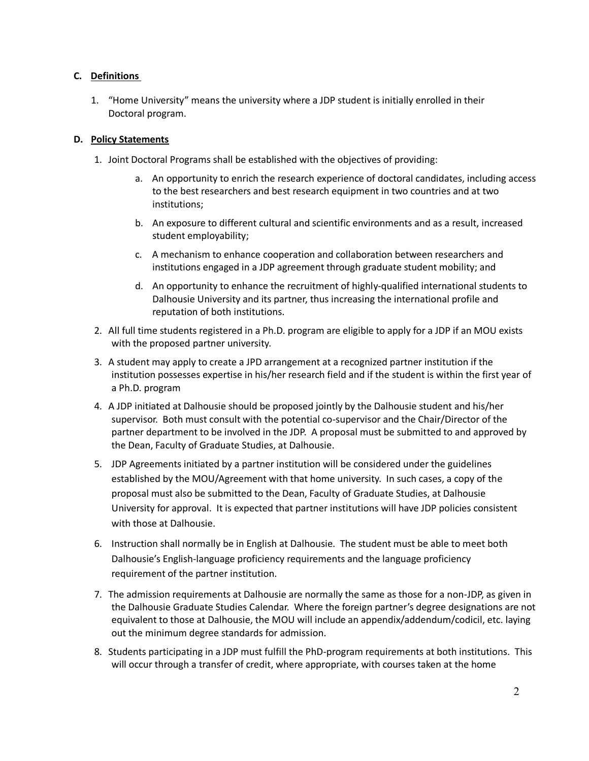## **C. Definitions**

1. "Home University" means the university where a JDP student is initially enrolled in their Doctoral program.

#### **D. Policy Statements**

- 1. Joint Doctoral Programs shall be established with the objectives of providing:
	- a. An opportunity to enrich the research experience of doctoral candidates, including access to the best researchers and best research equipment in two countries and at two institutions;
	- b. An exposure to different cultural and scientific environments and as a result, increased student employability;
	- c. A mechanism to enhance cooperation and collaboration between researchers and institutions engaged in a JDP agreement through graduate student mobility; and
	- d. An opportunity to enhance the recruitment of highly-qualified international students to Dalhousie University and its partner, thus increasing the international profile and reputation of both institutions.
- 2. All full time students registered in a Ph.D. program are eligible to apply for a JDP if an MOU exists with the proposed partner university.
- 3. A student may apply to create a JPD arrangement at a recognized partner institution if the institution possesses expertise in his/her research field and if the student is within the first year of a Ph.D. program
- 4. A JDP initiated at Dalhousie should be proposed jointly by the Dalhousie student and his/her supervisor. Both must consult with the potential co-supervisor and the Chair/Director of the partner department to be involved in the JDP. A proposal must be submitted to and approved by the Dean, Faculty of Graduate Studies, at Dalhousie.
- 5. JDP Agreements initiated by a partner institution will be considered under the guidelines established by the MOU/Agreement with that home university. In such cases, a copy of the proposal must also be submitted to the Dean, Faculty of Graduate Studies, at Dalhousie University for approval. It is expected that partner institutions will have JDP policies consistent with those at Dalhousie.
- 6. Instruction shall normally be in English at Dalhousie. The student must be able to meet both Dalhousie's English-language proficiency requirements and the language proficiency requirement of the partner institution.
- 7. The admission requirements at Dalhousie are normally the same as those for a non-JDP, as given in the Dalhousie Graduate Studies Calendar. Where the foreign partner's degree designations are not equivalent to those at Dalhousie, the MOU will include an appendix/addendum/codicil, etc. laying out the minimum degree standards for admission.
- 8. Students participating in a JDP must fulfill the PhD-program requirements at both institutions. This will occur through a transfer of credit, where appropriate, with courses taken at the home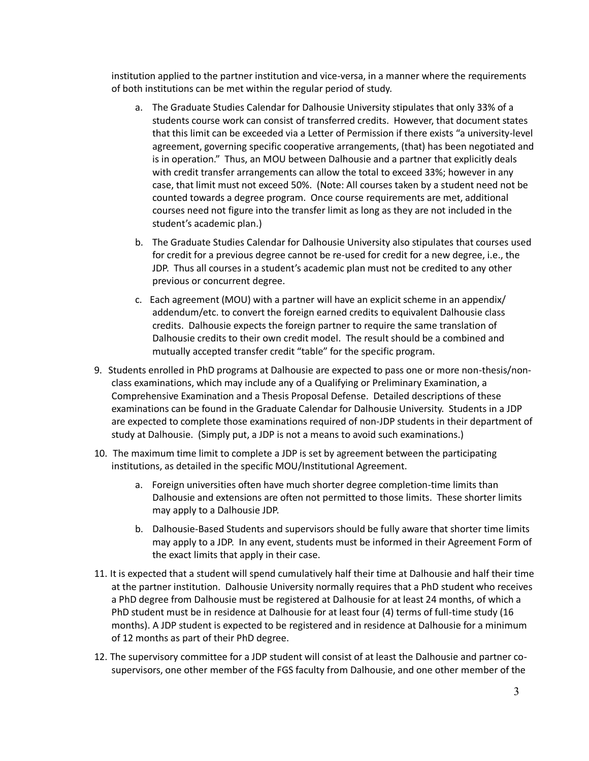institution applied to the partner institution and vice-versa, in a manner where the requirements of both institutions can be met within the regular period of study.

- a. The Graduate Studies Calendar for Dalhousie University stipulates that only 33% of a students course work can consist of transferred credits. However, that document states that this limit can be exceeded via a Letter of Permission if there exists "a university-level agreement, governing specific cooperative arrangements, (that) has been negotiated and is in operation." Thus, an MOU between Dalhousie and a partner that explicitly deals with credit transfer arrangements can allow the total to exceed 33%; however in any case, that limit must not exceed 50%. (Note: All courses taken by a student need not be counted towards a degree program. Once course requirements are met, additional courses need not figure into the transfer limit as long as they are not included in the student's academic plan.)
- b. The Graduate Studies Calendar for Dalhousie University also stipulates that courses used for credit for a previous degree cannot be re-used for credit for a new degree, i.e., the JDP. Thus all courses in a student's academic plan must not be credited to any other previous or concurrent degree.
- c. Each agreement (MOU) with a partner will have an explicit scheme in an appendix/ addendum/etc. to convert the foreign earned credits to equivalent Dalhousie class credits. Dalhousie expects the foreign partner to require the same translation of Dalhousie credits to their own credit model. The result should be a combined and mutually accepted transfer credit "table" for the specific program.
- 9. Students enrolled in PhD programs at Dalhousie are expected to pass one or more non-thesis/nonclass examinations, which may include any of a Qualifying or Preliminary Examination, a Comprehensive Examination and a Thesis Proposal Defense. Detailed descriptions of these examinations can be found in the Graduate Calendar for Dalhousie University. Students in a JDP are expected to complete those examinations required of non-JDP students in their department of study at Dalhousie. (Simply put, a JDP is not a means to avoid such examinations.)
- 10. The maximum time limit to complete a JDP is set by agreement between the participating institutions, as detailed in the specific MOU/Institutional Agreement.
	- a. Foreign universities often have much shorter degree completion-time limits than Dalhousie and extensions are often not permitted to those limits. These shorter limits may apply to a Dalhousie JDP.
	- b. Dalhousie-Based Students and supervisors should be fully aware that shorter time limits may apply to a JDP. In any event, students must be informed in their Agreement Form of the exact limits that apply in their case.
- 11. It is expected that a student will spend cumulatively half their time at Dalhousie and half their time at the partner institution. Dalhousie University normally requires that a PhD student who receives a PhD degree from Dalhousie must be registered at Dalhousie for at least 24 months, of which a PhD student must be in residence at Dalhousie for at least four (4) terms of full-time study (16 months). A JDP student is expected to be registered and in residence at Dalhousie for a minimum of 12 months as part of their PhD degree.
- 12. The supervisory committee for a JDP student will consist of at least the Dalhousie and partner cosupervisors, one other member of the FGS faculty from Dalhousie, and one other member of the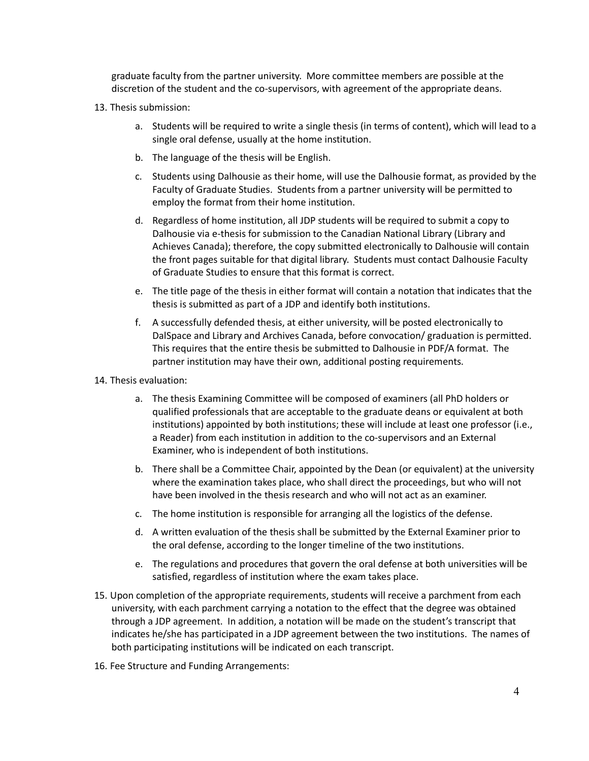graduate faculty from the partner university. More committee members are possible at the discretion of the student and the co-supervisors, with agreement of the appropriate deans.

- 13. Thesis submission:
	- a. Students will be required to write a single thesis (in terms of content), which will lead to a single oral defense, usually at the home institution.
	- b. The language of the thesis will be English.
	- c. Students using Dalhousie as their home, will use the Dalhousie format, as provided by the Faculty of Graduate Studies. Students from a partner university will be permitted to employ the format from their home institution.
	- d. Regardless of home institution, all JDP students will be required to submit a copy to Dalhousie via e-thesis for submission to the Canadian National Library (Library and Achieves Canada); therefore, the copy submitted electronically to Dalhousie will contain the front pages suitable for that digital library. Students must contact Dalhousie Faculty of Graduate Studies to ensure that this format is correct.
	- e. The title page of the thesis in either format will contain a notation that indicates that the thesis is submitted as part of a JDP and identify both institutions.
	- f. A successfully defended thesis, at either university, will be posted electronically to DalSpace and Library and Archives Canada, before convocation/ graduation is permitted. This requires that the entire thesis be submitted to Dalhousie in PDF/A format. The partner institution may have their own, additional posting requirements.
- 14. Thesis evaluation:
	- a. The thesis Examining Committee will be composed of examiners (all PhD holders or qualified professionals that are acceptable to the graduate deans or equivalent at both institutions) appointed by both institutions; these will include at least one professor (i.e., a Reader) from each institution in addition to the co-supervisors and an External Examiner, who is independent of both institutions.
	- b. There shall be a Committee Chair, appointed by the Dean (or equivalent) at the university where the examination takes place, who shall direct the proceedings, but who will not have been involved in the thesis research and who will not act as an examiner.
	- c. The home institution is responsible for arranging all the logistics of the defense.
	- d. A written evaluation of the thesis shall be submitted by the External Examiner prior to the oral defense, according to the longer timeline of the two institutions.
	- e. The regulations and procedures that govern the oral defense at both universities will be satisfied, regardless of institution where the exam takes place.
- 15. Upon completion of the appropriate requirements, students will receive a parchment from each university, with each parchment carrying a notation to the effect that the degree was obtained through a JDP agreement. In addition, a notation will be made on the student's transcript that indicates he/she has participated in a JDP agreement between the two institutions. The names of both participating institutions will be indicated on each transcript.
- 16. Fee Structure and Funding Arrangements: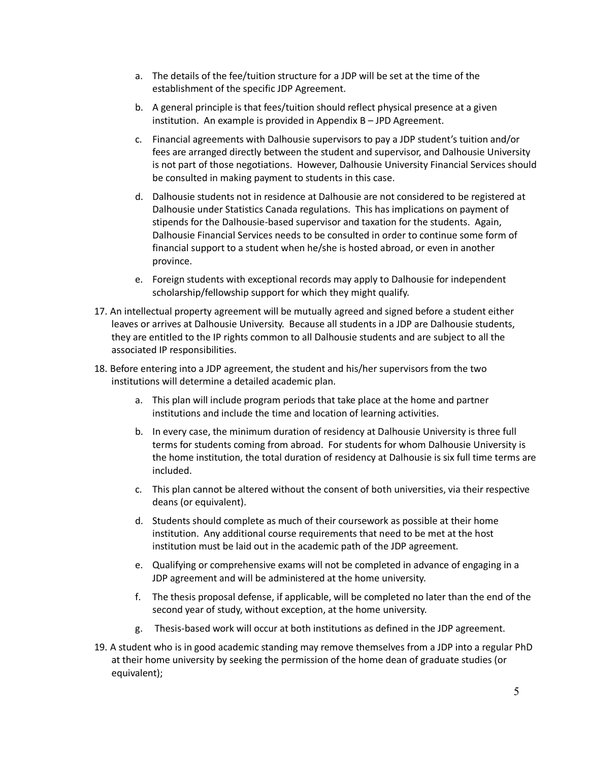- a. The details of the fee/tuition structure for a JDP will be set at the time of the establishment of the specific JDP Agreement.
- b. A general principle is that fees/tuition should reflect physical presence at a given institution. An example is provided in Appendix B – JPD Agreement.
- c. Financial agreements with Dalhousie supervisors to pay a JDP student's tuition and/or fees are arranged directly between the student and supervisor, and Dalhousie University is not part of those negotiations. However, Dalhousie University Financial Services should be consulted in making payment to students in this case.
- d. Dalhousie students not in residence at Dalhousie are not considered to be registered at Dalhousie under Statistics Canada regulations. This has implications on payment of stipends for the Dalhousie-based supervisor and taxation for the students. Again, Dalhousie Financial Services needs to be consulted in order to continue some form of financial support to a student when he/she is hosted abroad, or even in another province.
- e. Foreign students with exceptional records may apply to Dalhousie for independent scholarship/fellowship support for which they might qualify.
- 17. An intellectual property agreement will be mutually agreed and signed before a student either leaves or arrives at Dalhousie University. Because all students in a JDP are Dalhousie students, they are entitled to the IP rights common to all Dalhousie students and are subject to all the associated IP responsibilities.
- 18. Before entering into a JDP agreement, the student and his/her supervisors from the two institutions will determine a detailed academic plan.
	- a. This plan will include program periods that take place at the home and partner institutions and include the time and location of learning activities.
	- b. In every case, the minimum duration of residency at Dalhousie University is three full terms for students coming from abroad. For students for whom Dalhousie University is the home institution, the total duration of residency at Dalhousie is six full time terms are included.
	- c. This plan cannot be altered without the consent of both universities, via their respective deans (or equivalent).
	- d. Students should complete as much of their coursework as possible at their home institution. Any additional course requirements that need to be met at the host institution must be laid out in the academic path of the JDP agreement.
	- e. Qualifying or comprehensive exams will not be completed in advance of engaging in a JDP agreement and will be administered at the home university.
	- f. The thesis proposal defense, if applicable, will be completed no later than the end of the second year of study, without exception, at the home university.
	- g. Thesis-based work will occur at both institutions as defined in the JDP agreement.
- 19. A student who is in good academic standing may remove themselves from a JDP into a regular PhD at their home university by seeking the permission of the home dean of graduate studies (or equivalent);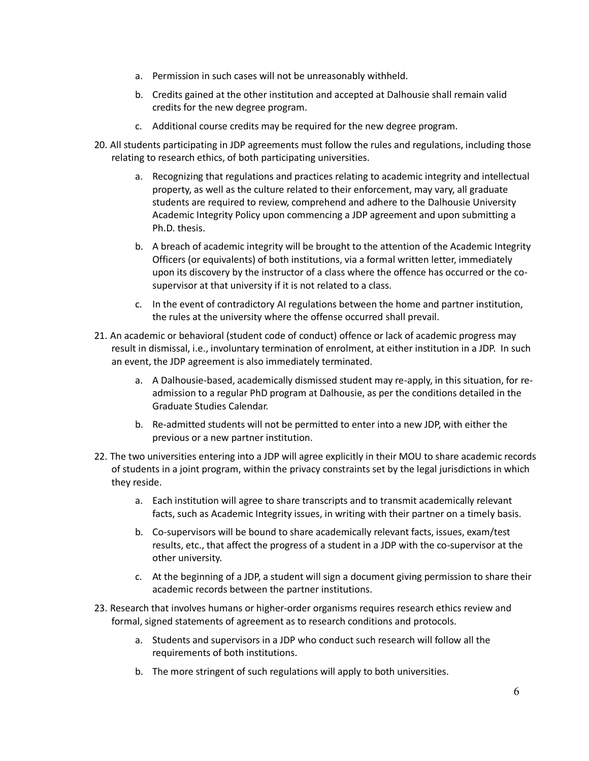- a. Permission in such cases will not be unreasonably withheld.
- b. Credits gained at the other institution and accepted at Dalhousie shall remain valid credits for the new degree program.
- c. Additional course credits may be required for the new degree program.
- 20. All students participating in JDP agreements must follow the rules and regulations, including those relating to research ethics, of both participating universities.
	- a. Recognizing that regulations and practices relating to academic integrity and intellectual property, as well as the culture related to their enforcement, may vary, all graduate students are required to review, comprehend and adhere to the Dalhousie University Academic Integrity Policy upon commencing a JDP agreement and upon submitting a Ph.D. thesis.
	- b. A breach of academic integrity will be brought to the attention of the Academic Integrity Officers (or equivalents) of both institutions, via a formal written letter, immediately upon its discovery by the instructor of a class where the offence has occurred or the cosupervisor at that university if it is not related to a class.
	- c. In the event of contradictory AI regulations between the home and partner institution, the rules at the university where the offense occurred shall prevail.
- 21. An academic or behavioral (student code of conduct) offence or lack of academic progress may result in dismissal, i.e., involuntary termination of enrolment, at either institution in a JDP. In such an event, the JDP agreement is also immediately terminated.
	- a. A Dalhousie-based, academically dismissed student may re-apply, in this situation, for readmission to a regular PhD program at Dalhousie, as per the conditions detailed in the Graduate Studies Calendar.
	- b. Re-admitted students will not be permitted to enter into a new JDP, with either the previous or a new partner institution.
- 22. The two universities entering into a JDP will agree explicitly in their MOU to share academic records of students in a joint program, within the privacy constraints set by the legal jurisdictions in which they reside.
	- a. Each institution will agree to share transcripts and to transmit academically relevant facts, such as Academic Integrity issues, in writing with their partner on a timely basis.
	- b. Co-supervisors will be bound to share academically relevant facts, issues, exam/test results, etc., that affect the progress of a student in a JDP with the co-supervisor at the other university.
	- c. At the beginning of a JDP, a student will sign a document giving permission to share their academic records between the partner institutions.
- 23. Research that involves humans or higher-order organisms requires research ethics review and formal, signed statements of agreement as to research conditions and protocols.
	- a. Students and supervisors in a JDP who conduct such research will follow all the requirements of both institutions.
	- b. The more stringent of such regulations will apply to both universities.